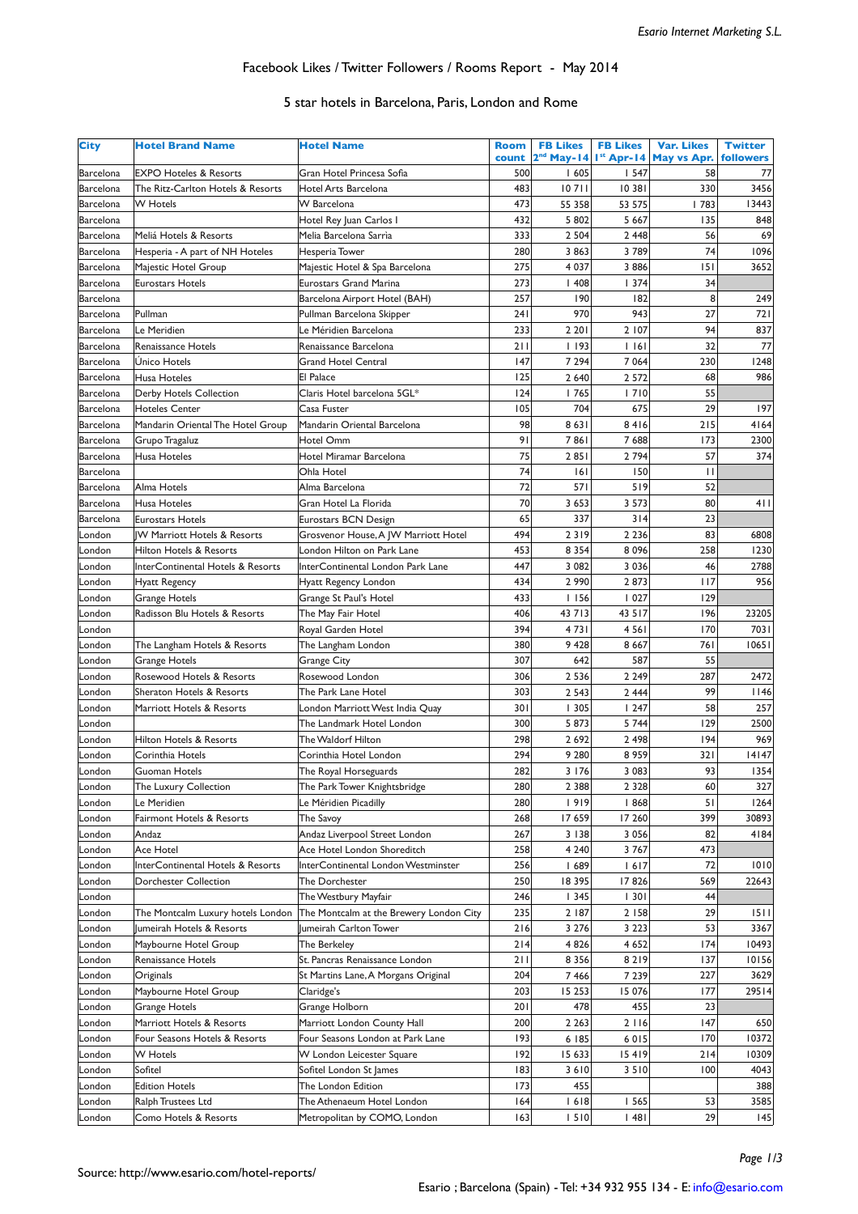# Facebook Likes / Twitter Followers / Rooms Report - May 2014

### 5 star hotels in Barcelona, Paris, London and Rome

| <b>City</b>      | <b>Hotel Brand Name</b>                                            | <b>Hotel Name</b>                       | <b>Room</b><br>count | <b>FB Likes</b><br>$2nd$ May-14 | <b>FB Likes</b><br>$Ist$ Apr-14 | <b>Var. Likes</b><br>May vs Apr. | <b>Twitter</b><br>followers |
|------------------|--------------------------------------------------------------------|-----------------------------------------|----------------------|---------------------------------|---------------------------------|----------------------------------|-----------------------------|
| <b>Barcelona</b> | <b>EXPO Hoteles &amp; Resorts</b>                                  | Gran Hotel Princesa Sofia               | 500                  | 1605                            | 1547                            | 58                               | 77                          |
| <b>Barcelona</b> | The Ritz-Carlton Hotels & Resorts                                  | Hotel Arts Barcelona                    | 483                  | 10711                           | 10 381                          | 330                              | 3456                        |
| <b>Barcelona</b> | W Hotels                                                           | <b>W</b> Barcelona                      | 473                  | 55 358                          | 53 575                          | 783                              | 3443                        |
| Barcelona        |                                                                    | Hotel Rey Juan Carlos I                 | 432                  | 5 802                           | 5 6 6 7                         | 135                              | 848                         |
| <b>Barcelona</b> | Meliá Hotels & Resorts                                             | Melia Barcelona Sarrìa                  | 333                  | 2 5 0 4                         | 2 4 4 8                         | 56                               | 69                          |
| Barcelona        | Hesperia - A part of NH Hoteles                                    | Hesperia Tower                          | 280                  | 3863                            | 3789                            | 74                               | 1096                        |
| <b>Barcelona</b> | Majestic Hotel Group                                               | Majestic Hotel & Spa Barcelona          | 275                  | 4 0 3 7                         | 3886                            | 151                              | 3652                        |
| <b>Barcelona</b> | <b>Eurostars Hotels</b>                                            | <b>Eurostars Grand Marina</b>           | 273                  | 1408                            | 1374                            | 34                               |                             |
| Barcelona        |                                                                    | Barcelona Airport Hotel (BAH)           | 257                  | 190                             | 182                             | 8                                | 249                         |
| Barcelona        | Pullman                                                            | Pullman Barcelona Skipper               | 241                  | 970                             | 943                             | 27                               | 721                         |
| <b>Barcelona</b> | Le Meridien                                                        | Le Méridien Barcelona                   | 233                  | 2 2 0 1                         | 2 107                           | 94                               | 837                         |
| <b>Barcelona</b> | Renaissance Hotels                                                 | Renaissance Barcelona                   | 211                  | 1193                            | 1161                            | 32                               | 77                          |
| <b>Barcelona</b> | Único Hotels                                                       | <b>Grand Hotel Central</b>              | 147                  | 7 2 9 4                         | 7 0 64                          | 230                              | 1248                        |
| <b>Barcelona</b> | Husa Hoteles                                                       | El Palace                               | 125                  | 2 6 4 0                         | 2 5 7 2                         | 68                               | 986                         |
| <b>Barcelona</b> | Derby Hotels Collection                                            | Claris Hotel barcelona 5GL*             | 124                  | I 765                           | 710                             | 55                               |                             |
| <b>Barcelona</b> | <b>Hoteles Center</b>                                              | Casa Fuster                             | 105                  | 704                             | 675                             | 29                               | 197                         |
| <b>Barcelona</b> | Mandarin Oriental The Hotel Group                                  | Mandarin Oriental Barcelona             | 98                   | 8631                            | 8416                            | 215                              | 4164                        |
| Barcelona        | Grupo Tragaluz                                                     | Hotel Omm                               | 91                   | 7861                            | 7688                            | 173                              | 2300                        |
| <b>Barcelona</b> | Husa Hoteles                                                       | Hotel Miramar Barcelona                 | 75                   | 2851                            | 2 7 9 4                         | 57                               | 374                         |
| <b>Barcelona</b> |                                                                    | Ohla Hotel                              | 74                   | 6                               | 150                             | $\mathbf{H}$                     |                             |
| Barcelona        | Alma Hotels                                                        | Alma Barcelona                          | 72                   | 571                             | 519                             | 52                               |                             |
|                  | Husa Hoteles                                                       | Gran Hotel La Florida                   | 70                   | 3 6 5 3                         | 3 5 7 3                         | 80                               | 411                         |
| <b>Barcelona</b> |                                                                    |                                         | 65                   | 337                             | 314                             | 23                               |                             |
| <b>Barcelona</b> | <b>Eurostars Hotels</b><br><b>IW Marriott Hotels &amp; Resorts</b> | Eurostars BCN Design                    |                      |                                 |                                 |                                  |                             |
| London           |                                                                    | Grosvenor House, A JW Marriott Hotel    | 494                  | 2319                            | 2 2 3 6                         | 83<br>258                        | 6808                        |
| London           | <b>Hilton Hotels &amp; Resorts</b>                                 | London Hilton on Park Lane              | 453                  | 8 3 5 4                         | 8 0 9 6                         |                                  | 230                         |
| London           | InterContinental Hotels & Resorts                                  | InterContinental London Park Lane       | 447                  | 3 0 8 2                         | 3 0 3 6                         | 46                               | 2788                        |
| London           | <b>Hyatt Regency</b>                                               | Hyatt Regency London                    | 434                  | 2 9 9 0                         | 2873                            | 117                              | 956                         |
| London           | <b>Grange Hotels</b>                                               | Grange St Paul's Hotel                  | 433                  | 1156                            | 1027                            | 29                               |                             |
| London           | Radisson Blu Hotels & Resorts                                      | The May Fair Hotel                      | 406                  | 43713                           | 43 5 17                         | 196                              | 23205                       |
| London           |                                                                    | Royal Garden Hotel                      | 394                  | 4731                            | 4561                            | 170                              | 7031                        |
| London           | The Langham Hotels & Resorts                                       | The Langham London                      | 380                  | 9 4 28                          | 8 6 6 7                         | 761<br>55                        | 10651                       |
| London           | Grange Hotels                                                      | <b>Grange City</b>                      | 307                  | 642                             | 587                             |                                  |                             |
| London           | Rosewood Hotels & Resorts                                          | Rosewood London                         | 306                  | 2 5 3 6                         | 2 2 4 9                         | 287                              | 2472                        |
| London           | Sheraton Hotels & Resorts                                          | The Park Lane Hotel                     | 303                  | 2 5 4 3                         | 2 4 4 4                         | 99                               | 1146                        |
| London           | Marriott Hotels & Resorts                                          | London Marriott West India Quay         | 301                  | 305                             | 1247                            | 58                               | 257                         |
| London           |                                                                    | The Landmark Hotel London               | 300                  | 5 8 7 3                         | 5 7 4 4                         | 129                              | 2500                        |
| London           | <b>Hilton Hotels &amp; Resorts</b>                                 | The Waldorf Hilton                      | 298                  | 2692                            | 2 4 9 8                         | 94                               | 969                         |
| London           | Corinthia Hotels                                                   | Corinthia Hotel London                  | 294                  | 9 2 8 0                         | 8959                            | 321                              | 14147                       |
| London           | Guoman Hotels                                                      | The Royal Horseguards                   | 282                  | 3 1 7 6                         | 3 0 8 3                         | 93                               | 354                         |
| London           | The Luxury Collection                                              | The Park Tower Knightsbridge            | 280                  | 2 3 8 8                         | 2 3 2 8                         | 60                               | 327                         |
| London           | Le Meridien                                                        | Le Méridien Picadilly                   | 280                  | 1919                            | 1868                            | 51                               | 264                         |
| London           | Fairmont Hotels & Resorts                                          | The Savoy                               | 268                  | 17659                           | 17 260                          | 399                              | 30893                       |
| London           | Andaz                                                              | Andaz Liverpool Street London           | 267                  | 3 1 3 8                         | 3 0 5 6                         | 82                               | 4184                        |
| London           | Ace Hotel                                                          | Ace Hotel London Shoreditch             | 258                  | 4 2 4 0                         | 3767                            | 473                              |                             |
| London           | InterContinental Hotels & Resorts                                  | InterContinental London Westminster     | 256                  | 689                             | 1617                            | 72                               | 1010                        |
| London           | Dorchester Collection                                              | The Dorchester                          | 250                  | 18395                           | 17826                           | 569                              | 22643                       |
| London           |                                                                    | The Westbury Mayfair                    | 246                  | 1345                            | 1301                            | 44                               |                             |
| London           | The Montcalm Luxury hotels London                                  | The Montcalm at the Brewery London City | 235                  | 2 187                           | 2   58                          | 29                               | 1511                        |
| London           | Jumeirah Hotels & Resorts                                          | Jumeirah Carlton Tower                  | 216                  | 3 2 7 6                         | 3 2 2 3                         | 53                               | 3367                        |
| London           | Maybourne Hotel Group                                              | The Berkeley                            | 214                  | 4826                            | 4 6 5 2                         | 74                               | 10493                       |
| London           | Renaissance Hotels                                                 | St. Pancras Renaissance London          | 211                  | 8 3 5 6                         | 8 2 1 9                         | 137                              | 10156                       |
| London           | Originals                                                          | St Martins Lane, A Morgans Original     | 204                  | 7466                            | 7 239                           | 227                              | 3629                        |
| London           | Maybourne Hotel Group                                              | Claridge's                              | 203                  | 15 253                          | 15 076                          | 177                              | 29514                       |
| London           | <b>Grange Hotels</b>                                               | Grange Holborn                          | 201                  | 478                             | 455                             | 23                               |                             |
| London           | Marriott Hotels & Resorts                                          | Marriott London County Hall             | 200                  | 2 2 6 3                         | 2116                            | 47                               | 650                         |
| London           | Four Seasons Hotels & Resorts                                      | Four Seasons London at Park Lane        | 193                  | 6 185                           | 6015                            | 70                               | 10372                       |
| London           | <b>W</b> Hotels                                                    | W London Leicester Square               | 192                  | 15 633                          | 15419                           | 2 4                              | 10309                       |
| London           | Sofitel                                                            | Sofitel London St James                 | 183                  | 3610                            | 3510                            | 100                              | 4043                        |
| London           | <b>Edition Hotels</b>                                              | The London Edition                      | 173                  | 455                             |                                 |                                  | 388                         |
| London           | Ralph Trustees Ltd                                                 | The Athenaeum Hotel London              | 164                  | 1618                            | I 565                           | 53                               | 3585                        |
| London           | Como Hotels & Resorts                                              | Metropolitan by COMO, London            | 163                  | 1510                            | 48                              | 29                               | 45                          |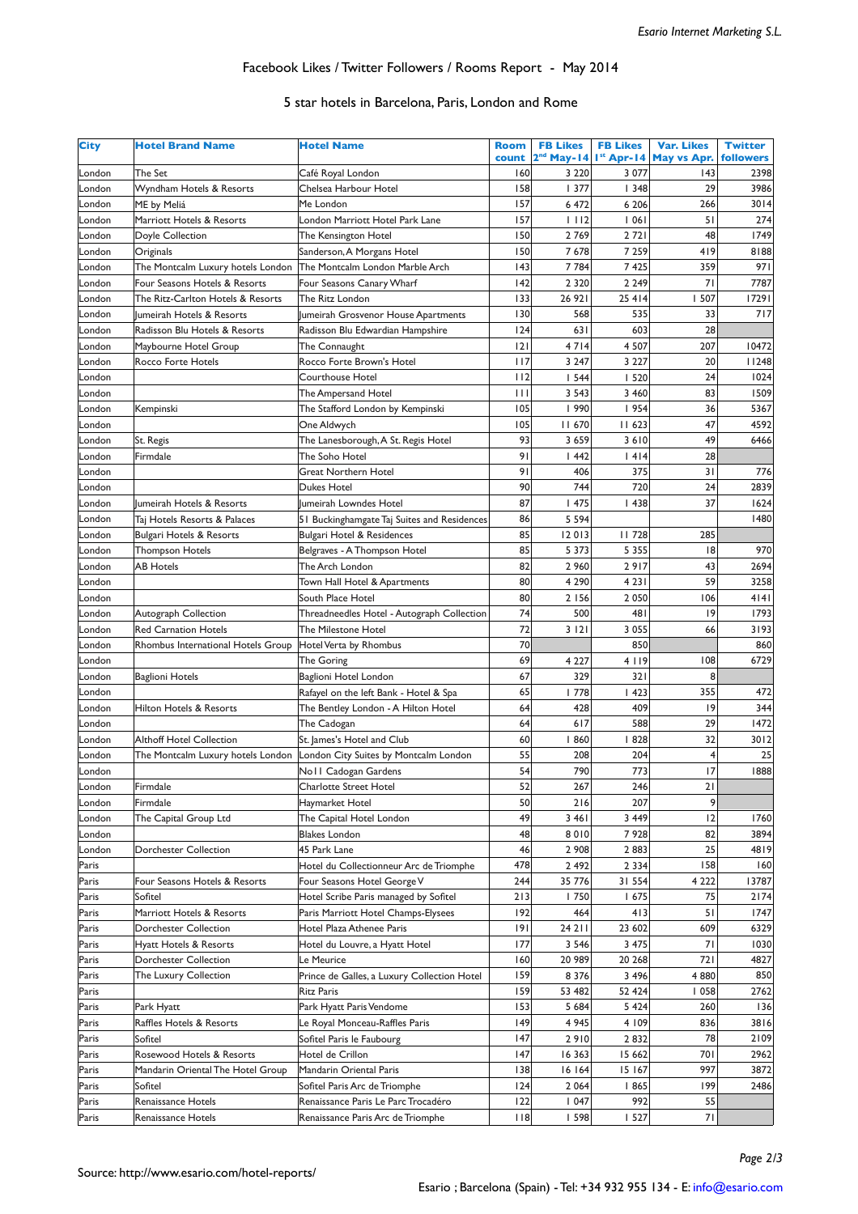# Facebook Likes / Twitter Followers / Rooms Report - May 2014

### 5 star hotels in Barcelona, Paris, London and Rome

| <b>City</b>      | <b>Hotel Brand Name</b>            | <b>Hotel Name</b>                                             | <b>Room</b>    | <b>FB Likes</b>         | <b>FB Likes</b>         | <b>Var. Likes</b>  | <b>Twitter</b>    |
|------------------|------------------------------------|---------------------------------------------------------------|----------------|-------------------------|-------------------------|--------------------|-------------------|
| London           | The Set                            | Café Royal London                                             | count<br>160   | $2nd$ May-14<br>3 2 2 0 | $Ist$ Apr-14<br>3 0 7 7 | May vs Apr.<br> 43 | followers<br>2398 |
| London           | Wyndham Hotels & Resorts           | Chelsea Harbour Hotel                                         | 158            | 377                     | 1348                    | 29                 | 3986              |
| London           | ME by Meliá                        | Me London                                                     | 157            | 6 472                   | 6 2 0 6                 | 266                | 3014              |
| London           | Marriott Hotels & Resorts          | London Marriott Hotel Park Lane                               | 157            | 1112                    | 1061                    | 51                 | 274               |
| London           | Doyle Collection                   | The Kensington Hotel                                          | 150            | 2769                    | 2721                    | 48                 | 1749              |
| London           | Originals                          | Sanderson, A Morgans Hotel                                    | 150            | 7678                    | 7 2 5 9                 | 419                | 8188              |
| London           | The Montcalm Luxury hotels London  | The Montcalm London Marble Arch                               | 143            | 7784                    | 7 4 2 5                 | 359                | 971               |
| London           | Four Seasons Hotels & Resorts      | Four Seasons Canary Wharf                                     | 142            | 2 3 2 0                 | 2 2 4 9                 | 71                 | 7787              |
| London           | The Ritz-Carlton Hotels & Resorts  | The Ritz London                                               | 133            | 26 921                  | 25 4 14                 | I 507              | 17291             |
| London           | Jumeirah Hotels & Resorts          | Jumeirah Grosvenor House Apartments                           | 130            | 568                     | 535                     | 33                 | 717               |
| London           | Radisson Blu Hotels & Resorts      | Radisson Blu Edwardian Hampshire                              | 124            | 631                     | 603                     | 28                 |                   |
| London           | Maybourne Hotel Group              | The Connaught                                                 | 2              | 4714                    | 4 5 0 7                 | 207                | 10472             |
| London           | Rocco Forte Hotels                 | Rocco Forte Brown's Hotel                                     | 117            | 3 2 4 7                 | 3 2 2 7                 | 20                 | 248               |
| London           |                                    | Courthouse Hotel                                              | 112            | 1544                    | 1520                    | 24                 | 1024              |
| London           |                                    | The Ampersand Hotel                                           | $\blacksquare$ | 3 5 4 3                 | 3 4 6 0                 | 83                 | 1509              |
| London           | Kempinski                          | The Stafford London by Kempinski                              | 105            | 990                     | 954                     | 36                 | 5367              |
| London           |                                    | One Aldwych                                                   | 105            | II 670                  | II 623                  | 47                 | 4592              |
| London           | St. Regis                          | The Lanesborough, A St. Regis Hotel                           | 93             | 3 6 5 9                 | 3610                    | 49                 | 6466              |
| London           | Firmdale                           | The Soho Hotel                                                | 91             | 1442                    | 1414                    | 28                 |                   |
| London           |                                    | Great Northern Hotel                                          | 91             | 406                     | 375                     | 31                 | 776               |
| London           |                                    | Dukes Hotel                                                   | 90             | 744                     | 720                     | 24                 | 2839              |
| London           | Jumeirah Hotels & Resorts          | Jumeirah Lowndes Hotel                                        | 87             | 1475                    | 1438                    | 37                 | 1624              |
| London           | Taj Hotels Resorts & Palaces       | 51 Buckinghamgate Taj Suites and Residences                   | 86             | 5 5 9 4                 |                         |                    | 1480              |
| London           | Bulgari Hotels & Resorts           | Bulgari Hotel & Residences                                    | 85             | 12013                   | 11728                   | 285                |                   |
| London           | <b>Thompson Hotels</b>             | Belgraves - A Thompson Hotel                                  | 85             | 5 3 7 3                 | 5 3 5 5                 | 8                  | 970               |
| London           | <b>AB Hotels</b>                   | The Arch London                                               | 82             | 2 960                   | 2917                    | 43                 | 2694              |
| London           |                                    | Town Hall Hotel & Apartments                                  | 80             | 4 2 9 0                 | 4 2 3 1                 | 59                 | 3258              |
| London           |                                    | South Place Hotel                                             | 80             | 2 1 5 6                 | 2 0 5 0                 | 106                | 4 4               |
| London           | Autograph Collection               | Threadneedles Hotel - Autograph Collection                    | 74             | 500                     | 481                     | 9                  | 1793              |
| London           | <b>Red Carnation Hotels</b>        | The Milestone Hotel                                           | 72             | 3121                    | 3 0 5 5                 | 66                 | 3193              |
| London           | Rhombus International Hotels Group | Hotel Verta by Rhombus                                        | 70             |                         | 850                     |                    | 860               |
| London           |                                    | The Goring                                                    | 69             | 4 2 2 7                 | 4 1 1 9                 | 108                | 6729              |
| London           | <b>Baglioni Hotels</b>             | Baglioni Hotel London                                         | 67             | 329                     | 321                     | 8                  |                   |
| London           |                                    | Rafayel on the left Bank - Hotel & Spa                        | 65             | 778                     | 1423                    | 355                | 472               |
| London           | <b>Hilton Hotels &amp; Resorts</b> | The Bentley London - A Hilton Hotel                           | 64             | 428                     | 409                     | 9                  | 344               |
| London           | <b>Althoff Hotel Collection</b>    | The Cadogan                                                   | 64<br>60       | 617                     | 588                     | 29<br>32           | 1472              |
| London           |                                    | St. James's Hotel and Club                                    | 55             | 860<br>208              | 828<br>204              | 4                  | 3012<br>25        |
| London<br>London | The Montcalm Luxury hotels London  | London City Suites by Montcalm London<br>Noll Cadogan Gardens | 54             | 790                     | 773                     | 17                 | 1888              |
| London           | Firmdale                           | Charlotte Street Hotel                                        | 52             | 267                     | 246                     | 21                 |                   |
| London           | Firmdale                           | Haymarket Hotel                                               | 50             | 216                     | 207                     | $\overline{9}$     |                   |
| London           | The Capital Group Ltd              | The Capital Hotel London                                      | 49             | 3 4 6 1                 | 3 4 4 9                 | 2                  | 1760              |
| London           |                                    | <b>Blakes London</b>                                          | 48             | 8010                    | 7928                    | 82                 | 3894              |
| London           | Dorchester Collection              | 45 Park Lane                                                  | 46             | 2 9 0 8                 | 2883                    | 25                 | 4819              |
| Paris            |                                    | Hotel du Collectionneur Arc de Triomphe                       | 478            | 2 4 9 2                 | 2 3 3 4                 | 58                 | 60                |
| Paris            | Four Seasons Hotels & Resorts      | Four Seasons Hotel George V                                   | 244            | 35 776                  | 31 554                  | 4 2 2 2            | 13787             |
| Paris            | Sofitel                            | Hotel Scribe Paris managed by Sofitel                         | 213            | 750                     | 1675                    | 75                 | 2174              |
| Paris            | Marriott Hotels & Resorts          | Paris Marriott Hotel Champs-Elysees                           | 192            | 464                     | 413                     | 51                 | 1747              |
| Paris            | Dorchester Collection              | Hotel Plaza Athenee Paris                                     | 9              | 24 2 1 1                | 23 602                  | 609                | 6329              |
| Paris            | Hyatt Hotels & Resorts             | Hotel du Louvre, a Hyatt Hotel                                | 177            | 3 5 4 6                 | 3 4 7 5                 | 71                 | 030               |
| Paris            | Dorchester Collection              | Le Meurice                                                    | 160            | 20 989                  | 20 268                  | 721                | 4827              |
| Paris            | The Luxury Collection              | Prince de Galles, a Luxury Collection Hotel                   | 159            | 8 3 7 6                 | 3 4 9 6                 | 4880               | 850               |
| Paris            |                                    | <b>Ritz Paris</b>                                             | 159            | 53 482                  | 52 424                  | 058                | 2762              |
| Paris            | Park Hyatt                         | Park Hyatt Paris Vendome                                      | 153            | 5 6 8 4                 | 5 4 2 4                 | 260                | 36                |
| Paris            | Raffles Hotels & Resorts           | Le Royal Monceau-Raffles Paris                                | 149            | 4 9 4 5                 | 4 109                   | 836                | 3816              |
| Paris            | Sofitel                            | Sofitel Paris le Faubourg                                     | 147            | 2910                    | 2832                    | 78                 | 2109              |
| Paris            | Rosewood Hotels & Resorts          | Hotel de Crillon                                              | 147            | 16 363                  | 15 662                  | 701                | 2962              |
| Paris            | Mandarin Oriental The Hotel Group  | Mandarin Oriental Paris                                       | 138            | 16 164                  | 15 167                  | 997                | 3872              |
| Paris            | Sofitel                            | Sofitel Paris Arc de Triomphe                                 | 124            | 2 0 6 4                 | 865                     | 199                | 2486              |
| Paris            | Renaissance Hotels                 | Renaissance Paris Le Parc Trocadéro                           | 122            | 1047                    | 992                     | 55                 |                   |
| Paris            | Renaissance Hotels                 | Renaissance Paris Arc de Triomphe                             | 18             | 598                     | 1527                    | 71                 |                   |